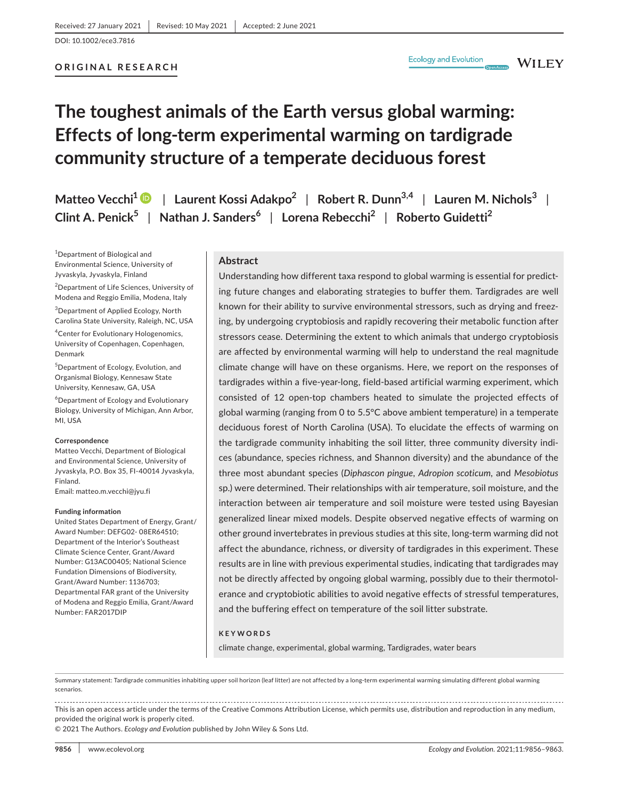## **ORIGINAL RESEARCH**

# **The toughest animals of the Earth versus global warming: Effects of long-term experimental warming on tardigrade community structure of a temperate deciduous forest**

**Matteo Vecchi1** | **Laurent Kossi Adakpo2** | **Robert R. Dunn3,4** | **Lauren M. Nichols<sup>3</sup>** | **Clint A. Penick5** | **Nathan J. Sanders<sup>6</sup>** | **Lorena Rebecchi2** | **Roberto Guidetti2**

<sup>1</sup>Department of Biological and Environmental Science, University of Jyvaskyla, Jyvaskyla, Finland

<sup>2</sup>Department of Life Sciences, University of Modena and Reggio Emilia, Modena, Italy

<sup>3</sup>Department of Applied Ecology, North Carolina State University, Raleigh, NC, USA

4 Center for Evolutionary Hologenomics, University of Copenhagen, Copenhagen, Denmark

<sup>5</sup> Department of Ecology, Evolution, and Organismal Biology, Kennesaw State University, Kennesaw, GA, USA

6 Department of Ecology and Evolutionary Biology, University of Michigan, Ann Arbor, MI, USA

#### **Correspondence**

Matteo Vecchi, Department of Biological and Environmental Science, University of Jyvaskyla, P.O. Box 35, FI-40014 Jyvaskyla, Finland. Email: [matteo.m.vecchi@jyu.fi](mailto:matteo.m.vecchi@jyu.fi)

#### **Funding information**

United States Department of Energy, Grant/ Award Number: DEFG02- 08ER64510; Department of the Interior's Southeast Climate Science Center, Grant/Award Number: G13AC00405; National Science Fundation Dimensions of Biodiversity, Grant/Award Number: 1136703; Departmental FAR grant of the University of Modena and Reggio Emilia, Grant/Award Number: FAR2017DIP

#### **Abstract**

Understanding how different taxa respond to global warming is essential for predicting future changes and elaborating strategies to buffer them. Tardigrades are well known for their ability to survive environmental stressors, such as drying and freezing, by undergoing cryptobiosis and rapidly recovering their metabolic function after stressors cease. Determining the extent to which animals that undergo cryptobiosis are affected by environmental warming will help to understand the real magnitude climate change will have on these organisms. Here, we report on the responses of tardigrades within a five-year-long, field-based artificial warming experiment, which consisted of 12 open-top chambers heated to simulate the projected effects of global warming (ranging from 0 to 5.5°C above ambient temperature) in a temperate deciduous forest of North Carolina (USA). To elucidate the effects of warming on the tardigrade community inhabiting the soil litter, three community diversity indices (abundance, species richness, and Shannon diversity) and the abundance of the three most abundant species (*Diphascon pingue*, *Adropion scoticum*, and *Mesobiotus* sp.) were determined. Their relationships with air temperature, soil moisture, and the interaction between air temperature and soil moisture were tested using Bayesian generalized linear mixed models. Despite observed negative effects of warming on other ground invertebrates in previous studies at this site, long-term warming did not affect the abundance, richness, or diversity of tardigrades in this experiment. These results are in line with previous experimental studies, indicating that tardigrades may not be directly affected by ongoing global warming, possibly due to their thermotolerance and cryptobiotic abilities to avoid negative effects of stressful temperatures, and the buffering effect on temperature of the soil litter substrate.

#### **KEYWORDS**

climate change, experimental, global warming, Tardigrades, water bears

Summary statement: Tardigrade communities inhabiting upper soil horizon (leaf litter) are not affected by a long-term experimental warming simulating different global warming scenarios.

This is an open access article under the terms of the [Creative Commons Attribution](http://creativecommons.org/licenses/by/4.0/) License, which permits use, distribution and reproduction in any medium, provided the original work is properly cited.

© 2021 The Authors. *Ecology and Evolution* published by John Wiley & Sons Ltd.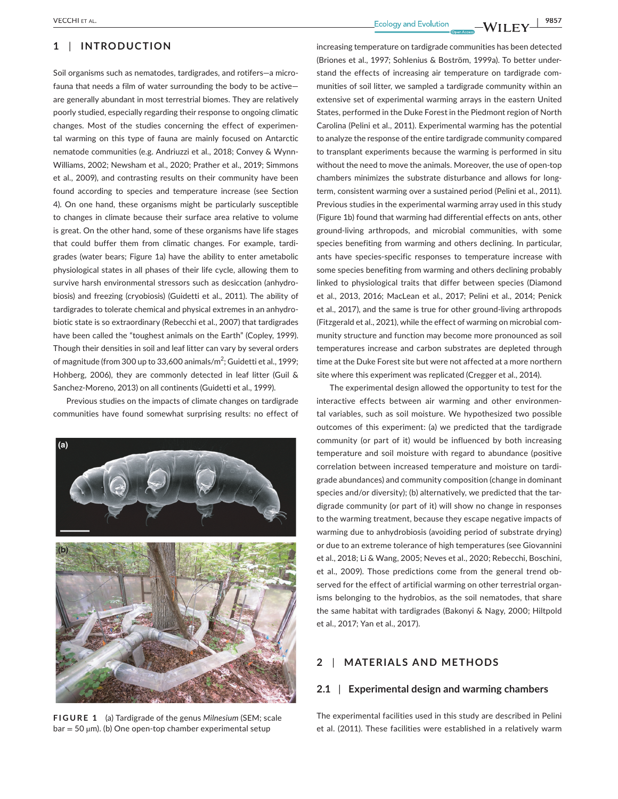# **1** | **INTRODUCTION**

Soil organisms such as nematodes, tardigrades, and rotifers—a microfauna that needs a film of water surrounding the body to be active are generally abundant in most terrestrial biomes. They are relatively poorly studied, especially regarding their response to ongoing climatic changes. Most of the studies concerning the effect of experimental warming on this type of fauna are mainly focused on Antarctic nematode communities (e.g. Andriuzzi et al., 2018; Convey & Wynn-Williams, 2002; Newsham et al., 2020; Prather et al., 2019; Simmons et al., 2009), and contrasting results on their community have been found according to species and temperature increase (see Section 4). On one hand, these organisms might be particularly susceptible to changes in climate because their surface area relative to volume is great. On the other hand, some of these organisms have life stages that could buffer them from climatic changes. For example, tardigrades (water bears; Figure 1a) have the ability to enter ametabolic physiological states in all phases of their life cycle, allowing them to survive harsh environmental stressors such as desiccation (anhydrobiosis) and freezing (cryobiosis) (Guidetti et al., 2011). The ability of tardigrades to tolerate chemical and physical extremes in an anhydrobiotic state is so extraordinary (Rebecchi et al., 2007) that tardigrades have been called the "toughest animals on the Earth" (Copley, 1999). Though their densities in soil and leaf litter can vary by several orders of magnitude (from 300 up to 33,600 animals/m<sup>2</sup>; Guidetti et al., 1999; Hohberg, 2006), they are commonly detected in leaf litter (Guil & Sanchez-Moreno, 2013) on all continents (Guidetti et al., 1999).

Previous studies on the impacts of climate changes on tardigrade communities have found somewhat surprising results: no effect of



**FIGURE 1** (a) Tardigrade of the genus *Milnesium* (SEM; scale  $bar = 50 \mu m$ ). (b) One open-top chamber experimental setup

 $\blacksquare$   $\blacksquare$   $\blacksquare$   $\blacksquare$   $\blacksquare$   $\blacksquare$   $\blacksquare$   $\blacksquare$   $\blacksquare$   $\blacksquare$   $\blacksquare$   $\blacksquare$   $\blacksquare$   $\blacksquare$   $\blacksquare$   $\blacksquare$   $\blacksquare$   $\blacksquare$   $\blacksquare$   $\blacksquare$   $\blacksquare$   $\blacksquare$   $\blacksquare$   $\blacksquare$   $\blacksquare$   $\blacksquare$   $\blacksquare$   $\blacksquare$   $\blacksquare$   $\blacksquare$   $\blacksquare$   $\$ 

increasing temperature on tardigrade communities has been detected (Briones et al., 1997; Sohlenius & Boström, 1999a). To better understand the effects of increasing air temperature on tardigrade communities of soil litter, we sampled a tardigrade community within an extensive set of experimental warming arrays in the eastern United States, performed in the Duke Forest in the Piedmont region of North Carolina (Pelini et al., 2011). Experimental warming has the potential to analyze the response of the entire tardigrade community compared to transplant experiments because the warming is performed in situ without the need to move the animals. Moreover, the use of open-top chambers minimizes the substrate disturbance and allows for longterm, consistent warming over a sustained period (Pelini et al., 2011). Previous studies in the experimental warming array used in this study (Figure 1b) found that warming had differential effects on ants, other ground-living arthropods, and microbial communities, with some species benefiting from warming and others declining. In particular, ants have species-specific responses to temperature increase with some species benefiting from warming and others declining probably linked to physiological traits that differ between species (Diamond et al., 2013, 2016; MacLean et al., 2017; Pelini et al., 2014; Penick et al., 2017), and the same is true for other ground-living arthropods (Fitzgerald et al., 2021), while the effect of warming on microbial community structure and function may become more pronounced as soil temperatures increase and carbon substrates are depleted through time at the Duke Forest site but were not affected at a more northern site where this experiment was replicated (Cregger et al., 2014).

The experimental design allowed the opportunity to test for the interactive effects between air warming and other environmental variables, such as soil moisture. We hypothesized two possible outcomes of this experiment: (a) we predicted that the tardigrade community (or part of it) would be influenced by both increasing temperature and soil moisture with regard to abundance (positive correlation between increased temperature and moisture on tardigrade abundances) and community composition (change in dominant species and/or diversity); (b) alternatively, we predicted that the tardigrade community (or part of it) will show no change in responses to the warming treatment, because they escape negative impacts of warming due to anhydrobiosis (avoiding period of substrate drying) or due to an extreme tolerance of high temperatures (see Giovannini et al., 2018; Li & Wang, 2005; Neves et al., 2020; Rebecchi, Boschini, et al., 2009). Those predictions come from the general trend observed for the effect of artificial warming on other terrestrial organisms belonging to the hydrobios, as the soil nematodes, that share the same habitat with tardigrades (Bakonyi & Nagy, 2000; Hiltpold et al., 2017; Yan et al., 2017).

# **2** | **MATERIALS AND METHODS**

### **2.1** | **Experimental design and warming chambers**

The experimental facilities used in this study are described in Pelini et al. (2011). These facilities were established in a relatively warm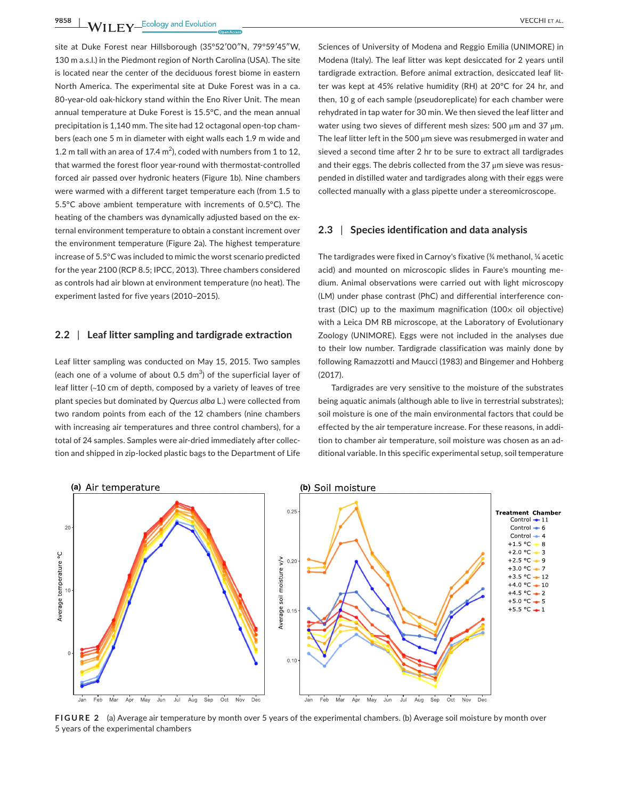site at Duke Forest near Hillsborough (35°52′00″N, 79°59′45″W, 130 m a.s.l.) in the Piedmont region of North Carolina (USA). The site is located near the center of the deciduous forest biome in eastern North America. The experimental site at Duke Forest was in a ca. 80-year-old oak-hickory stand within the Eno River Unit. The mean annual temperature at Duke Forest is 15.5°C, and the mean annual precipitation is 1,140 mm. The site had 12 octagonal open-top chambers (each one 5 m in diameter with eight walls each 1.9 m wide and 1.2 m tall with an area of 17.4  $m^2$ ), coded with numbers from 1 to 12, that warmed the forest floor year-round with thermostat-controlled forced air passed over hydronic heaters (Figure 1b). Nine chambers were warmed with a different target temperature each (from 1.5 to 5.5°C above ambient temperature with increments of 0.5°C). The heating of the chambers was dynamically adjusted based on the external environment temperature to obtain a constant increment over the environment temperature (Figure 2a). The highest temperature increase of 5.5°C was included to mimic the worst scenario predicted for the year 2100 (RCP 8.5; IPCC, 2013). Three chambers considered as controls had air blown at environment temperature (no heat). The experiment lasted for five years (2010–2015).

## **2.2** | **Leaf litter sampling and tardigrade extraction**

Leaf litter sampling was conducted on May 15, 2015. Two samples (each one of a volume of about 0.5  $dm^3$ ) of the superficial layer of leaf litter (~10 cm of depth, composed by a variety of leaves of tree plant species but dominated by *Quercus alba* L.) were collected from two random points from each of the 12 chambers (nine chambers with increasing air temperatures and three control chambers), for a total of 24 samples. Samples were air-dried immediately after collection and shipped in zip-locked plastic bags to the Department of Life

Sciences of University of Modena and Reggio Emilia (UNIMORE) in Modena (Italy). The leaf litter was kept desiccated for 2 years until tardigrade extraction. Before animal extraction, desiccated leaf litter was kept at 45% relative humidity (RH) at 20°C for 24 hr, and then, 10 g of each sample (pseudoreplicate) for each chamber were rehydrated in tap water for 30 min. We then sieved the leaf litter and water using two sieves of different mesh sizes: 500 μm and 37 μm. The leaf litter left in the 500 μm sieve was resubmerged in water and sieved a second time after 2 hr to be sure to extract all tardigrades and their eggs. The debris collected from the 37 μm sieve was resuspended in distilled water and tardigrades along with their eggs were collected manually with a glass pipette under a stereomicroscope.

## **2.3** | **Species identification and data analysis**

The tardigrades were fixed in Carnoy's fixative (¾ methanol, ¼ acetic acid) and mounted on microscopic slides in Faure's mounting medium. Animal observations were carried out with light microscopy (LM) under phase contrast (PhC) and differential interference contrast (DIC) up to the maximum magnification (100 $\times$  oil objective) with a Leica DM RB microscope, at the Laboratory of Evolutionary Zoology (UNIMORE). Eggs were not included in the analyses due to their low number. Tardigrade classification was mainly done by following Ramazzotti and Maucci (1983) and Bingemer and Hohberg (2017).

Tardigrades are very sensitive to the moisture of the substrates being aquatic animals (although able to live in terrestrial substrates); soil moisture is one of the main environmental factors that could be effected by the air temperature increase. For these reasons, in addition to chamber air temperature, soil moisture was chosen as an additional variable. In this specific experimental setup, soil temperature



**FIGURE 2** (a) Average air temperature by month over 5 years of the experimental chambers. (b) Average soil moisture by month over 5 years of the experimental chambers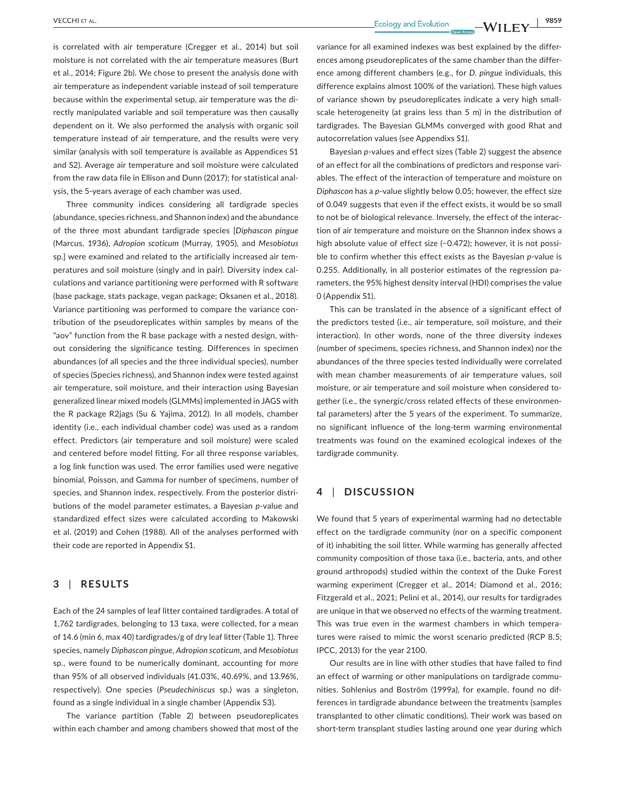**|** VECCHI Et al. **9859**

is correlated with air temperature (Cregger et al., 2014) but soil moisture is not correlated with the air temperature measures (Burt et al., 2014; Figure 2b). We chose to present the analysis done with air temperature as independent variable instead of soil temperature because within the experimental setup, air temperature was the directly manipulated variable and soil temperature was then causally dependent on it. We also performed the analysis with organic soil temperature instead of air temperature, and the results were very similar (analysis with soil temperature is available as Appendices S1 and S2). Average air temperature and soil moisture were calculated from the raw data file in Ellison and Dunn (2017); for statistical analysis, the 5-years average of each chamber was used.

Three community indices considering all tardigrade species (abundance, species richness, and Shannon index) and the abundance of the three most abundant tardigrade species [*Diphascon pingue* (Marcus, 1936), *Adropion scoticum* (Murray, 1905), and *Mesobiotus* sp.] were examined and related to the artificially increased air temperatures and soil moisture (singly and in pair). Diversity index calculations and variance partitioning were performed with R software (base package, stats package, vegan package; Oksanen et al., 2018). Variance partitioning was performed to compare the variance contribution of the pseudoreplicates within samples by means of the "aov" function from the R base package with a nested design, without considering the significance testing. Differences in specimen abundances (of all species and the three individual species), number of species (Species richness), and Shannon index were tested against air temperature, soil moisture, and their interaction using Bayesian generalized linear mixed models (GLMMs) implemented in JAGS with the R package R2jags (Su & Yajima, 2012). In all models, chamber identity (i.e., each individual chamber code) was used as a random effect. Predictors (air temperature and soil moisture) were scaled and centered before model fitting. For all three response variables, a log link function was used. The error families used were negative binomial, Poisson, and Gamma for number of specimens, number of species, and Shannon index, respectively. From the posterior distributions of the model parameter estimates, a Bayesian *p*-value and standardized effect sizes were calculated according to Makowski et al. (2019) and Cohen (1988). All of the analyses performed with their code are reported in Appendix S1.

## **3** | **RESULTS**

Each of the 24 samples of leaf litter contained tardigrades. A total of 1,762 tardigrades, belonging to 13 taxa, were collected, for a mean of 14.6 (min 6, max 40) tardigrades/g of dry leaf litter (Table 1). Three species, namely *Diphascon pingue*, *Adropion scoticum,* and *Mesobiotus* sp., were found to be numerically dominant, accounting for more than 95% of all observed individuals (41.03%, 40.69%, and 13.96%, respectively). One species (*Pseudechiniscus* sp.) was a singleton, found as a single individual in a single chamber (Appendix S3).

The variance partition (Table 2) between pseudoreplicates within each chamber and among chambers showed that most of the

variance for all examined indexes was best explained by the differences among pseudoreplicates of the same chamber than the difference among different chambers (e.g., for *D*. *pingue* individuals, this difference explains almost 100% of the variation). These high values of variance shown by pseudoreplicates indicate a very high smallscale heterogeneity (at grains less than 5 m) in the distribution of tardigrades. The Bayesian GLMMs converged with good Rhat and autocorrelation values (see Appendixs S1).

Bayesian *p*-values and effect sizes (Table 2) suggest the absence of an effect for all the combinations of predictors and response variables. The effect of the interaction of temperature and moisture on *Diphascon* has a *p*-value slightly below 0.05; however, the effect size of 0.049 suggests that even if the effect exists, it would be so small to not be of biological relevance. Inversely, the effect of the interaction of air temperature and moisture on the Shannon index shows a high absolute value of effect size (-0.472); however, it is not possible to confirm whether this effect exists as the Bayesian *p*-value is 0.255. Additionally, in all posterior estimates of the regression parameters, the 95% highest density interval (HDI) comprises the value 0 (Appendix S1).

This can be translated in the absence of a significant effect of the predictors tested (i.e., air temperature, soil moisture, and their interaction). In other words, none of the three diversity indexes (number of specimens, species richness, and Shannon index) nor the abundances of the three species tested individually were correlated with mean chamber measurements of air temperature values, soil moisture, or air temperature and soil moisture when considered together (i.e., the synergic/cross related effects of these environmental parameters) after the 5 years of the experiment. To summarize, no significant influence of the long-term warming environmental treatments was found on the examined ecological indexes of the tardigrade community.

# **4** | **DISCUSSION**

We found that 5 years of experimental warming had no detectable effect on the tardigrade community (nor on a specific component of it) inhabiting the soil litter. While warming has generally affected community composition of those taxa (i.e., bacteria, ants, and other ground arthropods) studied within the context of the Duke Forest warming experiment (Cregger et al., 2014; Diamond et al., 2016; Fitzgerald et al., 2021; Pelini et al., 2014), our results for tardigrades are unique in that we observed no effects of the warming treatment. This was true even in the warmest chambers in which temperatures were raised to mimic the worst scenario predicted (RCP 8.5; IPCC, 2013) for the year 2100.

Our results are in line with other studies that have failed to find an effect of warming or other manipulations on tardigrade communities. Sohlenius and Boström (1999a), for example, found no differences in tardigrade abundance between the treatments (samples transplanted to other climatic conditions). Their work was based on short-term transplant studies lasting around one year during which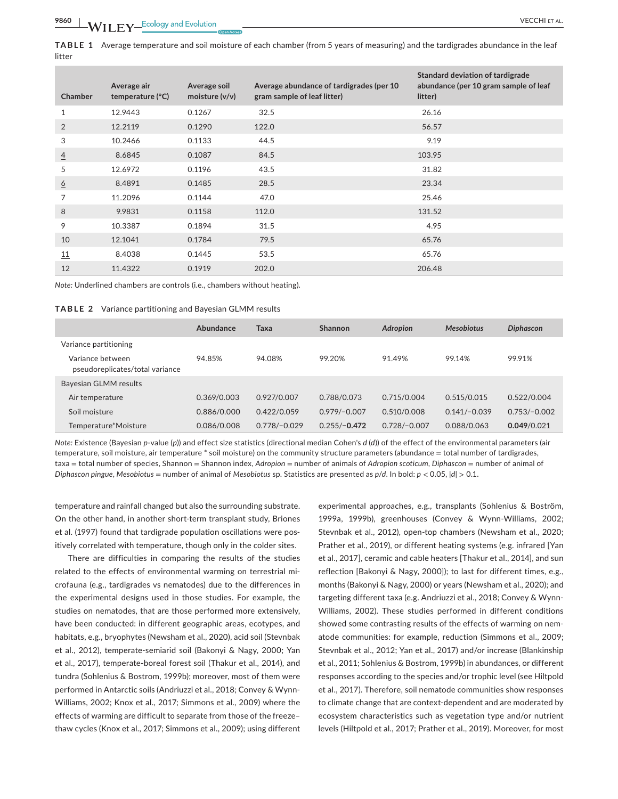**TABLE 1** Average temperature and soil moisture of each chamber (from 5 years of measuring) and the tardigrades abundance in the leaf litter

| Chamber        | Average air<br>temperature $(^{\circ}C)$ | Average soil<br>moisture $(v/v)$ | Average abundance of tardigrades (per 10<br>gram sample of leaf litter) | Standard deviation of tardigrade<br>abundance (per 10 gram sample of leaf<br>litter) |
|----------------|------------------------------------------|----------------------------------|-------------------------------------------------------------------------|--------------------------------------------------------------------------------------|
| 1              | 12.9443                                  | 0.1267                           | 32.5                                                                    | 26.16                                                                                |
| $\overline{2}$ | 12.2119                                  | 0.1290                           | 122.0                                                                   | 56.57                                                                                |
| 3              | 10.2466                                  | 0.1133                           | 44.5                                                                    | 9.19                                                                                 |
| $\overline{4}$ | 8.6845                                   | 0.1087                           | 84.5                                                                    | 103.95                                                                               |
| 5              | 12.6972                                  | 0.1196                           | 43.5                                                                    | 31.82                                                                                |
| $\overline{6}$ | 8.4891                                   | 0.1485                           | 28.5                                                                    | 23.34                                                                                |
| 7              | 11.2096                                  | 0.1144                           | 47.0                                                                    | 25.46                                                                                |
| 8              | 9.9831                                   | 0.1158                           | 112.0                                                                   | 131.52                                                                               |
| 9              | 10.3387                                  | 0.1894                           | 31.5                                                                    | 4.95                                                                                 |
| 10             | 12.1041                                  | 0.1784                           | 79.5                                                                    | 65.76                                                                                |
| 11             | 8.4038                                   | 0.1445                           | 53.5                                                                    | 65.76                                                                                |
| 12             | 11.4322                                  | 0.1919                           | 202.0                                                                   | 206.48                                                                               |

*Note:* Underlined chambers are controls (i.e., chambers without heating).

| TABLE 2 |  | Variance partitioning and Bayesian GLMM results |  |  |  |  |
|---------|--|-------------------------------------------------|--|--|--|--|
|---------|--|-------------------------------------------------|--|--|--|--|

|                                                     | Abundance   | Taxa           | Shannon        | <b>Adropion</b> | <b>Mesobiotus</b> | <b>Diphascon</b> |
|-----------------------------------------------------|-------------|----------------|----------------|-----------------|-------------------|------------------|
| Variance partitioning                               |             |                |                |                 |                   |                  |
| Variance between<br>pseudoreplicates/total variance | 94.85%      | 94.08%         | 99.20%         | 91.49%          | 99.14%            | 99.91%           |
| Bayesian GLMM results                               |             |                |                |                 |                   |                  |
| Air temperature                                     | 0.369/0.003 | 0.927/0.007    | 0.788/0.073    | 0.715/0.004     | 0.515/0.015       | 0.522/0.004      |
| Soil moisture                                       | 0.886/0.000 | 0.422/0.059    | $0.979/-0.007$ | 0.510/0.008     | $0.141/-0.039$    | $0.753/-0.002$   |
| Temperature*Moisture                                | 0.086/0.008 | $0.778/-0.029$ | $0.255/-0.472$ | $0.728/-0.007$  | 0.088/0.063       | 0.049/0.021      |

*Note:* Existence (Bayesian *p*-value (*p*)) and effect size statistics (directional median Cohen's *d* (*d*)) of the effect of the environmental parameters (air temperature, soil moisture, air temperature \* soil moisture) on the community structure parameters (abundance = total number of tardigrades, taxa = total number of species, Shannon = Shannon index, *Adropion* = number of animals of *Adropion scoticum*, *Diphascon* = number of animal of *Diphascon pingue*, *Mesobiotus* = number of animal of *Mesobiotus* sp. Statistics are presented as *p*/*d*. In bold: *p* < 0.05, |*d*| > 0.1.

temperature and rainfall changed but also the surrounding substrate. On the other hand, in another short-term transplant study, Briones et al. (1997) found that tardigrade population oscillations were positively correlated with temperature, though only in the colder sites.

There are difficulties in comparing the results of the studies related to the effects of environmental warming on terrestrial microfauna (e.g., tardigrades vs nematodes) due to the differences in the experimental designs used in those studies. For example, the studies on nematodes, that are those performed more extensively, have been conducted: in different geographic areas, ecotypes, and habitats, e.g., bryophytes (Newsham et al., 2020), acid soil (Stevnbak et al., 2012), temperate-semiarid soil (Bakonyi & Nagy, 2000; Yan et al., 2017), temperate-boreal forest soil (Thakur et al., 2014), and tundra (Sohlenius & Bostrom, 1999b); moreover, most of them were performed in Antarctic soils (Andriuzzi et al., 2018; Convey & Wynn-Williams, 2002; Knox et al., 2017; Simmons et al., 2009) where the effects of warming are difficult to separate from those of the freeze– thaw cycles (Knox et al., 2017; Simmons et al., 2009); using different experimental approaches, e.g., transplants (Sohlenius & Boström, 1999a, 1999b), greenhouses (Convey & Wynn-Williams, 2002; Stevnbak et al., 2012), open-top chambers (Newsham et al., 2020; Prather et al., 2019), or different heating systems (e.g. infrared [Yan et al., 2017], ceramic and cable heaters [Thakur et al., 2014], and sun reflection [Bakonyi & Nagy, 2000]); to last for different times, e.g., months (Bakonyi & Nagy, 2000) or years (Newsham et al., 2020); and targeting different taxa (e.g. Andriuzzi et al., 2018; Convey & Wynn-Williams, 2002). These studies performed in different conditions showed some contrasting results of the effects of warming on nematode communities: for example, reduction (Simmons et al., 2009; Stevnbak et al., 2012; Yan et al., 2017) and/or increase (Blankinship et al., 2011; Sohlenius & Bostrom, 1999b) in abundances, or different responses according to the species and/or trophic level (see Hiltpold et al., 2017). Therefore, soil nematode communities show responses to climate change that are context-dependent and are moderated by ecosystem characteristics such as vegetation type and/or nutrient levels (Hiltpold et al., 2017; Prather et al., 2019). Moreover, for most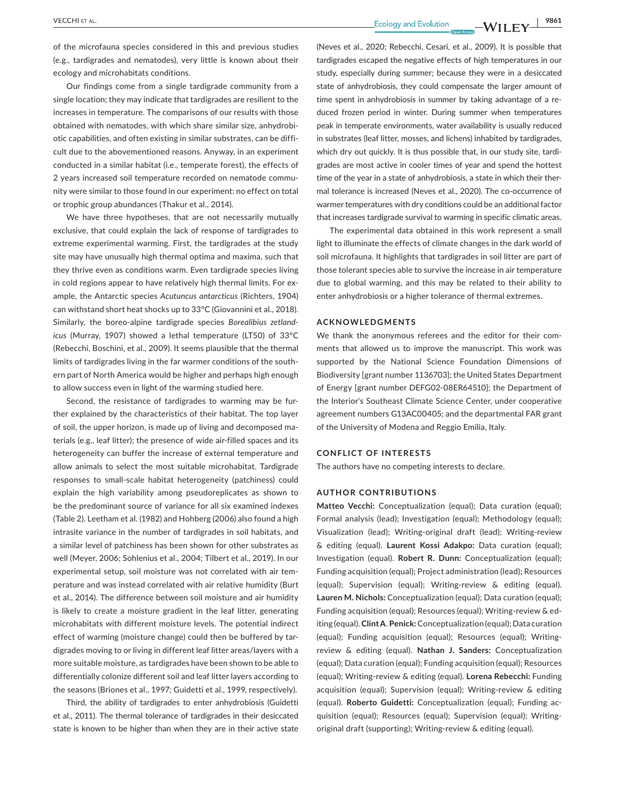of the microfauna species considered in this and previous studies (e.g., tardigrades and nematodes), very little is known about their ecology and microhabitats conditions.

Our findings come from a single tardigrade community from a single location; they may indicate that tardigrades are resilient to the increases in temperature. The comparisons of our results with those obtained with nematodes, with which share similar size, anhydrobiotic capabilities, and often existing in similar substrates, can be difficult due to the abovementioned reasons. Anyway, in an experiment conducted in a similar habitat (i.e., temperate forest), the effects of 2 years increased soil temperature recorded on nematode community were similar to those found in our experiment: no effect on total or trophic group abundances (Thakur et al., 2014).

We have three hypotheses, that are not necessarily mutually exclusive, that could explain the lack of response of tardigrades to extreme experimental warming. First, the tardigrades at the study site may have unusually high thermal optima and maxima, such that they thrive even as conditions warm. Even tardigrade species living in cold regions appear to have relatively high thermal limits. For example, the Antarctic species *Acutuncus antarcticus* (Richters, 1904) can withstand short heat shocks up to 33°C (Giovannini et al., 2018). Similarly, the boreo-alpine tardigrade species *Borealibius zetlandicus* (Murray, 1907) showed a lethal temperature (LT50) of 33°C (Rebecchi, Boschini, et al., 2009). It seems plausible that the thermal limits of tardigrades living in the far warmer conditions of the southern part of North America would be higher and perhaps high enough to allow success even in light of the warming studied here.

Second, the resistance of tardigrades to warming may be further explained by the characteristics of their habitat. The top layer of soil, the upper horizon, is made up of living and decomposed materials (e.g., leaf litter); the presence of wide air-filled spaces and its heterogeneity can buffer the increase of external temperature and allow animals to select the most suitable microhabitat. Tardigrade responses to small-scale habitat heterogeneity (patchiness) could explain the high variability among pseudoreplicates as shown to be the predominant source of variance for all six examined indexes (Table 2). Leetham et al. (1982) and Hohberg (2006) also found a high intrasite variance in the number of tardigrades in soil habitats, and a similar level of patchiness has been shown for other substrates as well (Meyer, 2006; Sohlenius et al., 2004; Tilbert et al., 2019). In our experimental setup, soil moisture was not correlated with air temperature and was instead correlated with air relative humidity (Burt et al., 2014). The difference between soil moisture and air humidity is likely to create a moisture gradient in the leaf litter, generating microhabitats with different moisture levels. The potential indirect effect of warming (moisture change) could then be buffered by tardigrades moving to or living in different leaf litter areas/layers with a more suitable moisture, as tardigrades have been shown to be able to differentially colonize different soil and leaf litter layers according to the seasons (Briones et al., 1997; Guidetti et al., 1999, respectively).

Third, the ability of tardigrades to enter anhydrobiosis (Guidetti et al., 2011). The thermal tolerance of tardigrades in their desiccated state is known to be higher than when they are in their active state

(Neves et al., 2020; Rebecchi, Cesari, et al., 2009). It is possible that tardigrades escaped the negative effects of high temperatures in our study, especially during summer; because they were in a desiccated state of anhydrobiosis, they could compensate the larger amount of time spent in anhydrobiosis in summer by taking advantage of a reduced frozen period in winter. During summer when temperatures peak in temperate environments, water availability is usually reduced in substrates (leaf litter, mosses, and lichens) inhabited by tardigrades, which dry out quickly. It is thus possible that, in our study site, tardigrades are most active in cooler times of year and spend the hottest time of the year in a state of anhydrobiosis, a state in which their thermal tolerance is increased (Neves et al., 2020). The co-occurrence of warmer temperatures with dry conditions could be an additional factor that increases tardigrade survival to warming in specific climatic areas.

The experimental data obtained in this work represent a small light to illuminate the effects of climate changes in the dark world of soil microfauna. It highlights that tardigrades in soil litter are part of those tolerant species able to survive the increase in air temperature due to global warming, and this may be related to their ability to enter anhydrobiosis or a higher tolerance of thermal extremes.

#### **ACKNOWLEDGMENTS**

We thank the anonymous referees and the editor for their comments that allowed us to improve the manuscript. This work was supported by the National Science Foundation Dimensions of Biodiversity [grant number 1136703]; the United States Department of Energy [grant number DEFG02-08ER64510]; the Department of the Interior's Southeast Climate Science Center, under cooperative agreement numbers G13AC00405; and the departmental FAR grant of the University of Modena and Reggio Emilia, Italy.

#### **CONFLICT OF INTERESTS**

The authors have no competing interests to declare.

#### **AUTHOR CONTRIBUTIONS**

**Matteo Vecchi:** Conceptualization (equal); Data curation (equal); Formal analysis (lead); Investigation (equal); Methodology (equal); Visualization (lead); Writing-original draft (lead); Writing-review & editing (equal). **Laurent Kossi Adakpo:** Data curation (equal); Investigation (equal). **Robert R. Dunn:** Conceptualization (equal); Funding acquisition (equal); Project administration (lead); Resources (equal); Supervision (equal); Writing-review & editing (equal). **Lauren M. Nichols:** Conceptualization (equal); Data curation (equal); Funding acquisition (equal); Resources (equal); Writing-review & editing (equal). **Clint A**. **Penick:** Conceptualization (equal); Data curation (equal); Funding acquisition (equal); Resources (equal); Writingreview & editing (equal). **Nathan J. Sanders:** Conceptualization (equal); Data curation (equal); Funding acquisition (equal); Resources (equal); Writing-review & editing (equal). **Lorena Rebecchi:** Funding acquisition (equal); Supervision (equal); Writing-review & editing (equal). **Roberto Guidetti:** Conceptualization (equal); Funding acquisition (equal); Resources (equal); Supervision (equal); Writingoriginal draft (supporting); Writing-review & editing (equal).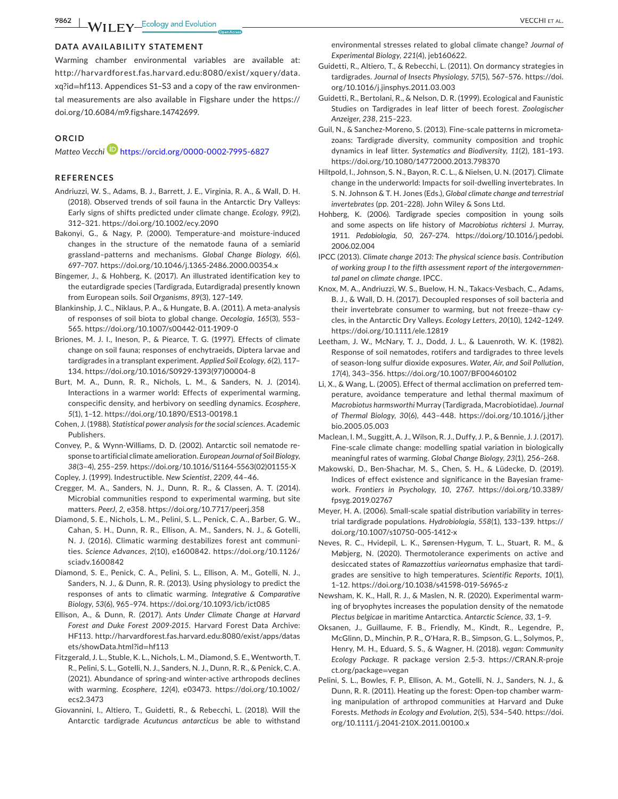## **DATA AVAILABILITY STATEMENT**

Warming chamber environmental variables are available at: [http://harvardforest.fas.harvard.edu:8080/exist/xquer](http://harvardforest.fas.harvard.edu:8080/exist/xquery/data.xq?id=hf113) y/data. xq?id=[hf113.](http://harvardforest.fas.harvard.edu:8080/exist/xquery/data.xq?id=hf113) Appendices S1–S3 and a copy of the raw environmental measurements are also available in Figshare under the [https://](https://doi.org/10.6084/m9.figshare.14742699) [doi.org/10.6084/m9.figshare.14742699.](https://doi.org/10.6084/m9.figshare.14742699)

## **ORCID**

*Matteo Vecchi* <https://orcid.org/0000-0002-7995-6827>

#### **REFERENCES**

- Andriuzzi, W. S., Adams, B. J., Barrett, J. E., Virginia, R. A., & Wall, D. H. (2018). Observed trends of soil fauna in the Antarctic Dry Valleys: Early signs of shifts predicted under climate change. *Ecology*, *99*(2), 312–321.<https://doi.org/10.1002/ecy.2090>
- Bakonyi, G., & Nagy, P. (2000). Temperature-and moisture-induced changes in the structure of the nematode fauna of a semiarid grassland–patterns and mechanisms. *Global Change Biology*, *6*(6), 697–707. <https://doi.org/10.1046/j.1365-2486.2000.00354.x>
- Bingemer, J., & Hohberg, K. (2017). An illustrated identification key to the eutardigrade species (Tardigrada, Eutardigrada) presently known from European soils. *Soil Organisms*, *89*(3), 127–149.
- Blankinship, J. C., Niklaus, P. A., & Hungate, B. A. (2011). A meta-analysis of responses of soil biota to global change. *Oecologia*, *165*(3), 553– 565.<https://doi.org/10.1007/s00442-011-1909-0>
- Briones, M. J. I., Ineson, P., & Piearce, T. G. (1997). Effects of climate change on soil fauna; responses of enchytraeids, Diptera larvae and tardigrades in a transplant experiment. *Applied Soil Ecology*, *6*(2), 117– 134. [https://doi.org/10.1016/S0929-1393\(97\)00004-8](https://doi.org/10.1016/S0929-1393(97)00004-8)
- Burt, M. A., Dunn, R. R., Nichols, L. M., & Sanders, N. J. (2014). Interactions in a warmer world: Effects of experimental warming, conspecific density, and herbivory on seedling dynamics. *Ecosphere*, *5*(1), 1–12. <https://doi.org/10.1890/ES13-00198.1>
- Cohen, J. (1988). *Statistical power analysis for the social sciences*. Academic Publishers.
- Convey, P., & Wynn-Williams, D. D. (2002). Antarctic soil nematode response to artificial climate amelioration. *European Journal of Soil Biology*, *38*(3–4), 255–259. [https://doi.org/10.1016/S1164-5563\(02\)01155-X](https://doi.org/10.1016/S1164-5563(02)01155-X)
- Copley, J. (1999). Indestructible. *New Scientist*, *2209*, 44–46.
- Cregger, M. A., Sanders, N. J., Dunn, R. R., & Classen, A. T. (2014). Microbial communities respond to experimental warming, but site matters. *PeerJ*, *2*, e358. <https://doi.org/10.7717/peerj.358>
- Diamond, S. E., Nichols, L. M., Pelini, S. L., Penick, C. A., Barber, G. W., Cahan, S. H., Dunn, R. R., Ellison, A. M., Sanders, N. J., & Gotelli, N. J. (2016). Climatic warming destabilizes forest ant communities. *Science Advances*, *2*(10), e1600842. [https://doi.org/10.1126/](https://doi.org/10.1126/sciadv.1600842) [sciadv.1600842](https://doi.org/10.1126/sciadv.1600842)
- Diamond, S. E., Penick, C. A., Pelini, S. L., Ellison, A. M., Gotelli, N. J., Sanders, N. J., & Dunn, R. R. (2013). Using physiology to predict the responses of ants to climatic warming. *Integrative & Comparative Biology*, *53*(6), 965–974. <https://doi.org/10.1093/icb/ict085>
- Ellison, A., & Dunn, R. (2017). *Ants Under Climate Change at Harvard Forest and Duke Forest 2009-2015*. Harvard Forest Data Archive: HF113. [http://harvardforest.fas.harvard.edu:8080/exist/apps/datas](http://harvardforest.fas.harvard.edu:8080/exist/apps/datasets/showData.html?id=hf113) [ets/showData.html?id](http://harvardforest.fas.harvard.edu:8080/exist/apps/datasets/showData.html?id=hf113)=hf113
- Fitzgerald, J. L., Stuble, K. L., Nichols, L. M., Diamond, S. E., Wentworth, T. R., Pelini, S. L., Gotelli, N. J., Sanders, N. J., Dunn, R. R., & Penick, C. A. (2021). Abundance of spring-and winter-active arthropods declines with warming. *Ecosphere*, *12*(4), e03473. [https://doi.org/10.1002/](https://doi.org/10.1002/ecs2.3473) [ecs2.3473](https://doi.org/10.1002/ecs2.3473)
- Giovannini, I., Altiero, T., Guidetti, R., & Rebecchi, L. (2018). Will the Antarctic tardigrade *Acutuncus antarcticus* be able to withstand

environmental stresses related to global climate change? *Journal of Experimental Biology*, *221*(4), jeb160622.

- Guidetti, R., Altiero, T., & Rebecchi, L. (2011). On dormancy strategies in tardigrades. *Journal of Insects Physiology*, *57*(5), 567–576. [https://doi.](https://doi.org/10.1016/j.jinsphys.2011.03.003) [org/10.1016/j.jinsphys.2011.03.003](https://doi.org/10.1016/j.jinsphys.2011.03.003)
- Guidetti, R., Bertolani, R., & Nelson, D. R. (1999). Ecological and Faunistic Studies on Tardigrades in leaf litter of beech forest. *Zoologischer Anzeiger*, *238*, 215–223.
- Guil, N., & Sanchez-Moreno, S. (2013). Fine-scale patterns in micrometazoans: Tardigrade diversity, community composition and trophic dynamics in leaf litter. *Systematics and Biodiversity*, *11*(2), 181–193. <https://doi.org/10.1080/14772000.2013.798370>
- Hiltpold, I., Johnson, S. N., Bayon, R. C. L., & Nielsen, U. N. (2017). Climate change in the underworld: Impacts for soil-dwelling invertebrates. In S. N. Johnson & T. H. Jones (Eds.), *Global climate change and terrestrial invertebrates* (pp. 201–228). John Wiley & Sons Ltd.
- Hohberg, K. (2006). Tardigrade species composition in young soils and some aspects on life history of *Macrobiotus richtersi* J. Murray, 1911. *Pedobiologia*, *50*, 267–274. [https://doi.org/10.1016/j.pedobi.](https://doi.org/10.1016/j.pedobi.2006.02.004) [2006.02.004](https://doi.org/10.1016/j.pedobi.2006.02.004)
- IPCC (2013). *Climate change 2013: The physical science basis. Contribution of working group I to the fifth assessment report of the intergovernmental panel on climate change*. IPCC.
- Knox, M. A., Andriuzzi, W. S., Buelow, H. N., Takacs-Vesbach, C., Adams, B. J., & Wall, D. H. (2017). Decoupled responses of soil bacteria and their invertebrate consumer to warming, but not freeze–thaw cycles, in the Antarctic Dry Valleys. *Ecology Letters*, *20*(10), 1242–1249. <https://doi.org/10.1111/ele.12819>
- Leetham, J. W., McNary, T. J., Dodd, J. L., & Lauenroth, W. K. (1982). Response of soil nematodes, rotifers and tardigrades to three levels of season-long sulfur dioxide exposures. *Water, Air, and Soil Pollution*, *17*(4), 343–356. <https://doi.org/10.1007/BF00460102>
- Li, X., & Wang, L. (2005). Effect of thermal acclimation on preferred temperature, avoidance temperature and lethal thermal maximum of *Macrobiotus harmsworthi* Murray (Tardigrada, Macrobiotidae). *Journal of Thermal Biology*, *30*(6), 443–448. [https://doi.org/10.1016/j.jther](https://doi.org/10.1016/j.jtherbio.2005.05.003) [bio.2005.05.003](https://doi.org/10.1016/j.jtherbio.2005.05.003)
- Maclean, I. M., Suggitt, A. J., Wilson, R. J., Duffy, J. P., & Bennie, J. J. (2017). Fine-scale climate change: modelling spatial variation in biologically meaningful rates of warming. *Global Change Biology*, *23*(1), 256–268.
- Makowski, D., Ben-Shachar, M. S., Chen, S. H., & Lüdecke, D. (2019). Indices of effect existence and significance in the Bayesian framework. *Frontiers in Psychology*, *10*, 2767. [https://doi.org/10.3389/](https://doi.org/10.3389/fpsyg.2019.02767) [fpsyg.2019.02767](https://doi.org/10.3389/fpsyg.2019.02767)
- Meyer, H. A. (2006). Small-scale spatial distribution variability in terrestrial tardigrade populations. *Hydrobiologia*, *558*(1), 133–139. [https://](https://doi.org/10.1007/s10750-005-1412-x) [doi.org/10.1007/s10750-005-1412-x](https://doi.org/10.1007/s10750-005-1412-x)
- Neves, R. C., Hvidepil, L. K., Sørensen-Hygum, T. L., Stuart, R. M., & Møbjerg, N. (2020). Thermotolerance experiments on active and desiccated states of *Ramazzottius varieornatus* emphasize that tardigrades are sensitive to high temperatures. *Scientific Reports*, *10*(1), 1–12. <https://doi.org/10.1038/s41598-019-56965-z>
- Newsham, K. K., Hall, R. J., & Maslen, N. R. (2020). Experimental warming of bryophytes increases the population density of the nematode *Plectus belgicae* in maritime Antarctica. *Antarctic Science*, *33*, 1–9.
- Oksanen, J., Guillaume, F. B., Friendly, M., Kindt, R., Legendre, P., McGlinn, D., Minchin, P. R., O'Hara, R. B., Simpson, G. L., Solymos, P., Henry, M. H., Eduard, S. S., & Wagner, H. (2018). *vegan: Community Ecology Package*. R package version 2.5-3. [https://CRAN.R-proje](https://CRAN.R-project.org/package=vegan) [ct.org/package](https://CRAN.R-project.org/package=vegan)=vegan
- Pelini, S. L., Bowles, F. P., Ellison, A. M., Gotelli, N. J., Sanders, N. J., & Dunn, R. R. (2011). Heating up the forest: Open-top chamber warming manipulation of arthropod communities at Harvard and Duke Forests. *Methods in Ecology and Evolution*, *2*(5), 534–540. [https://doi.](https://doi.org/10.1111/j.2041-210X.2011.00100.x) [org/10.1111/j.2041-210X.2011.00100.x](https://doi.org/10.1111/j.2041-210X.2011.00100.x)